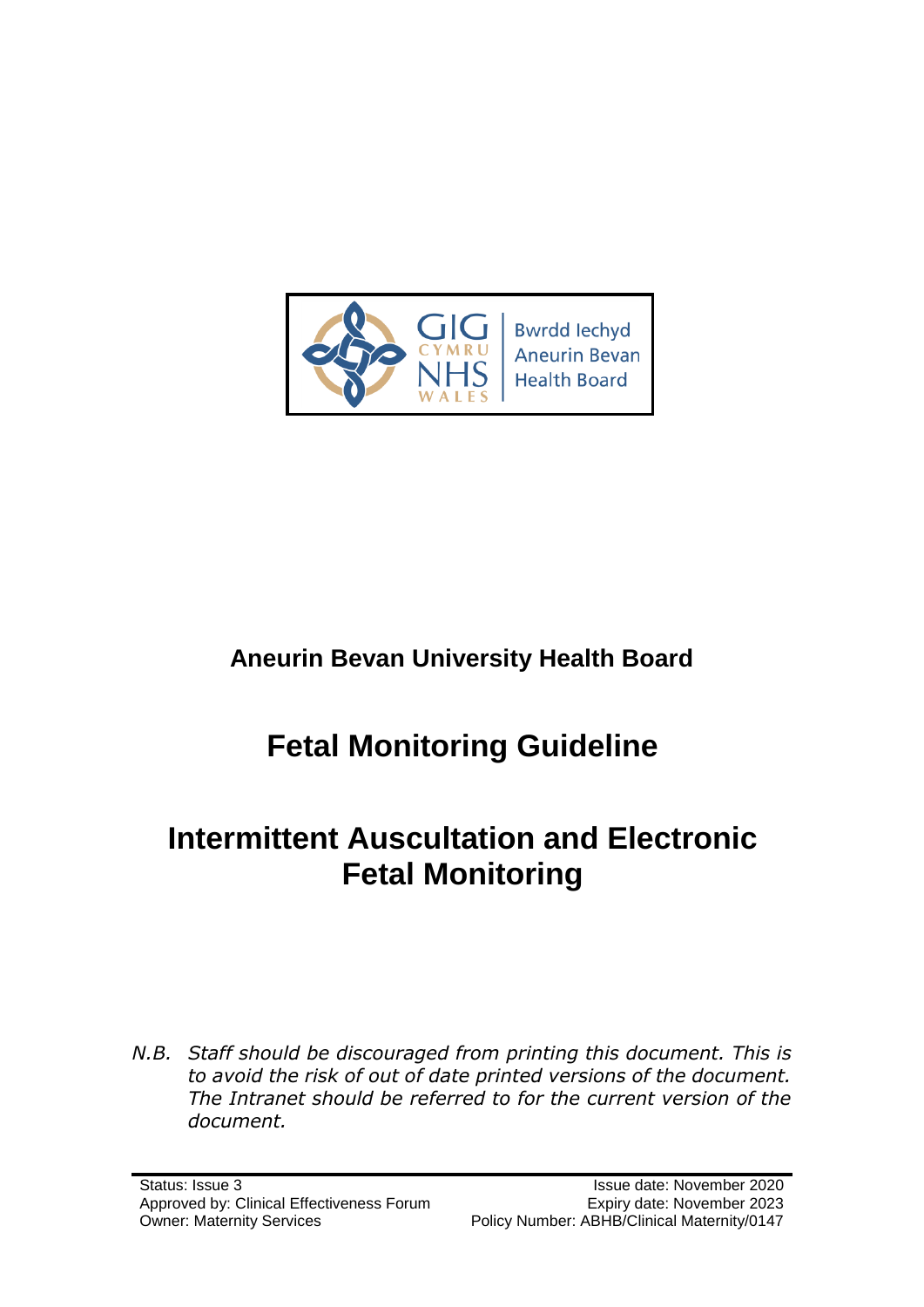

## **Aneurin Bevan University Health Board**

# **Fetal Monitoring Guideline**

## **Intermittent Auscultation and Electronic Fetal Monitoring**

*N.B. Staff should be discouraged from printing this document. This is to avoid the risk of out of date printed versions of the document. The Intranet should be referred to for the current version of the document.*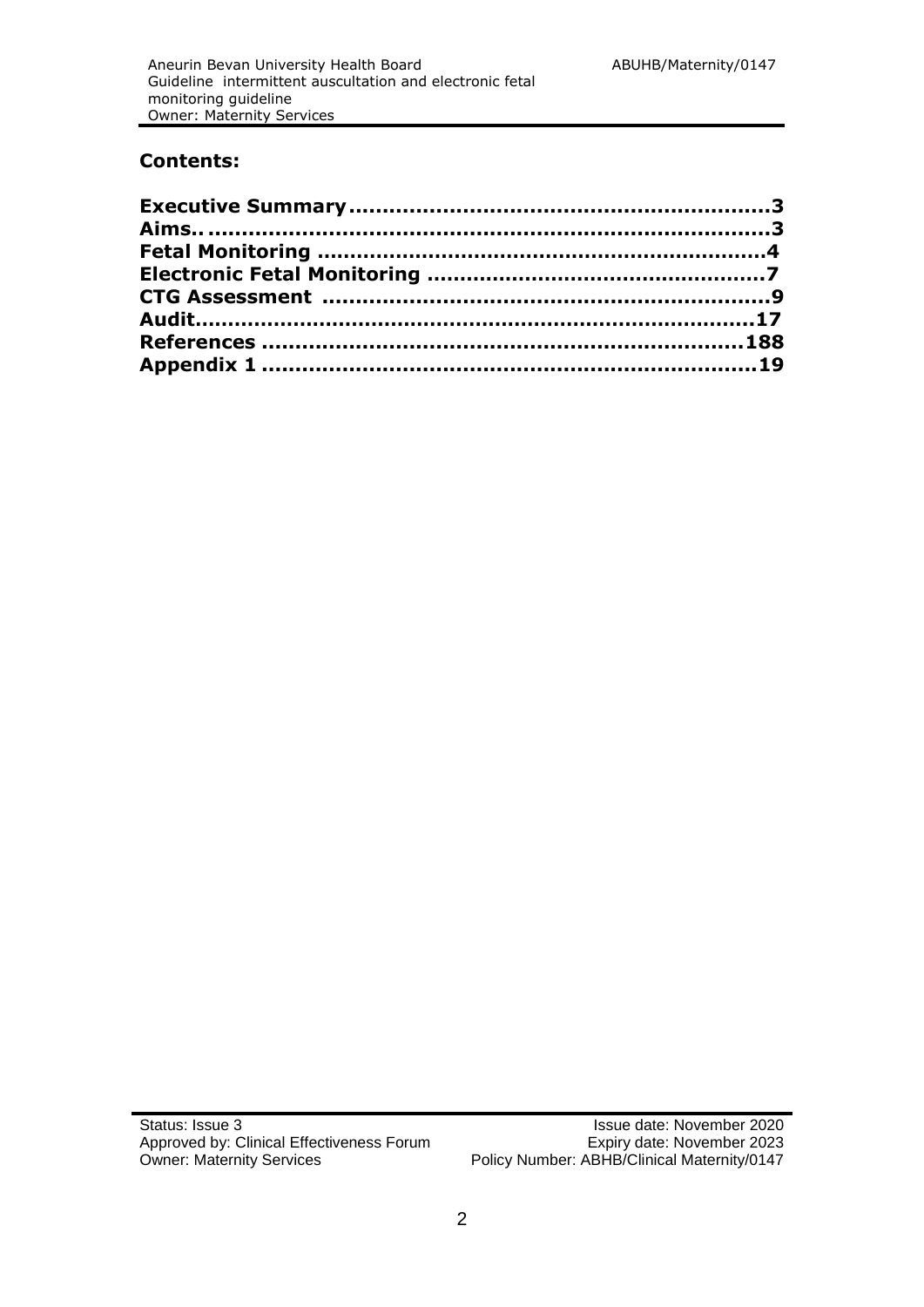#### **Contents:**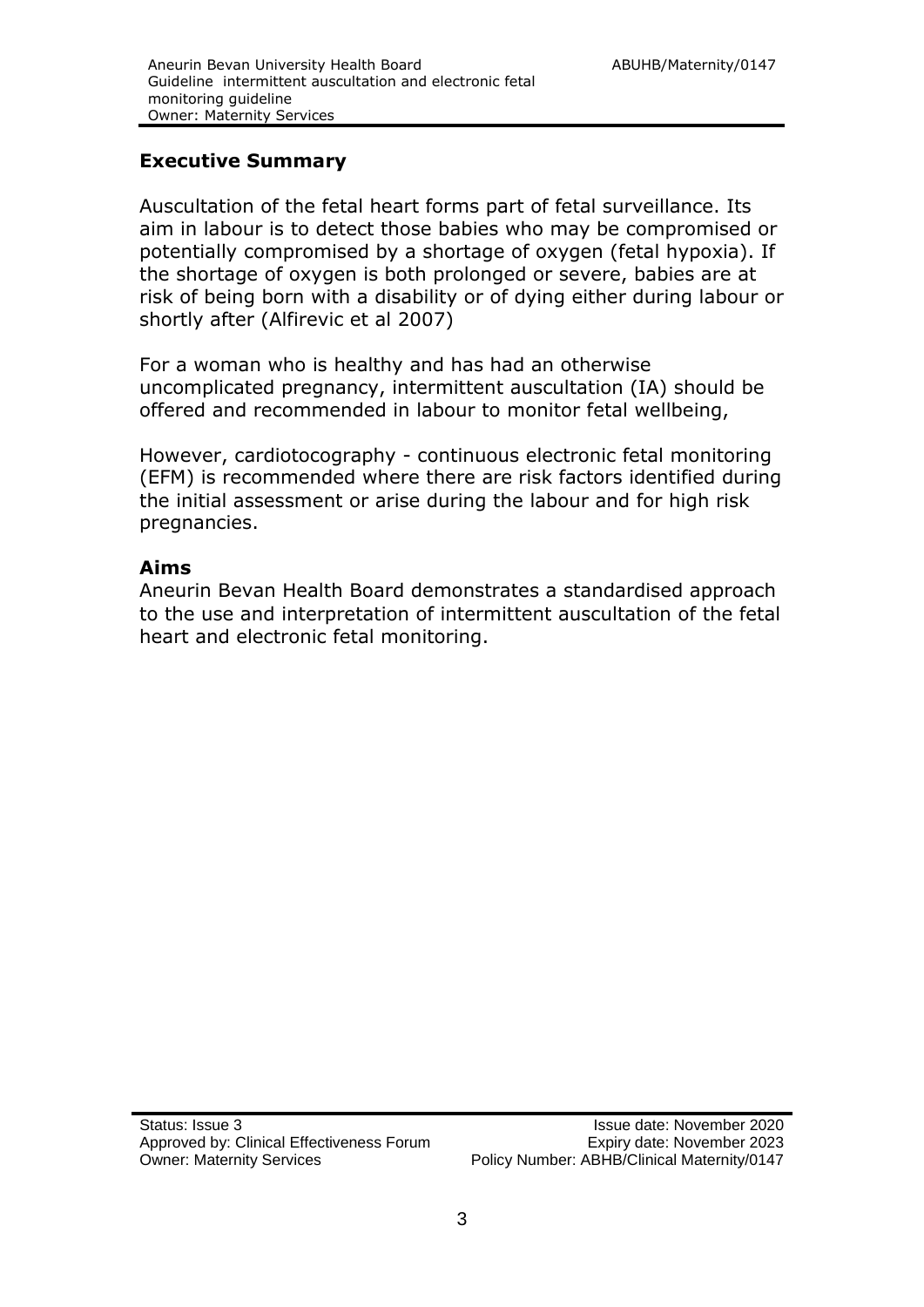#### <span id="page-2-0"></span>**Executive Summary**

Auscultation of the fetal heart forms part of fetal surveillance. Its aim in labour is to detect those babies who may be compromised or potentially compromised by a shortage of oxygen (fetal hypoxia). If the shortage of oxygen is both prolonged or severe, babies are at risk of being born with a disability or of dying either during labour or shortly after (Alfirevic et al 2007)

For a woman who is healthy and has had an otherwise uncomplicated pregnancy, intermittent auscultation (IA) should be offered and recommended in labour to monitor fetal wellbeing,

However, cardiotocography - continuous electronic fetal monitoring (EFM) is recommended where there are risk factors identified during the initial assessment or arise during the labour and for high risk pregnancies.

#### <span id="page-2-1"></span>**Aims**

Aneurin Bevan Health Board demonstrates a standardised approach to the use and interpretation of intermittent auscultation of the fetal heart and electronic fetal monitoring.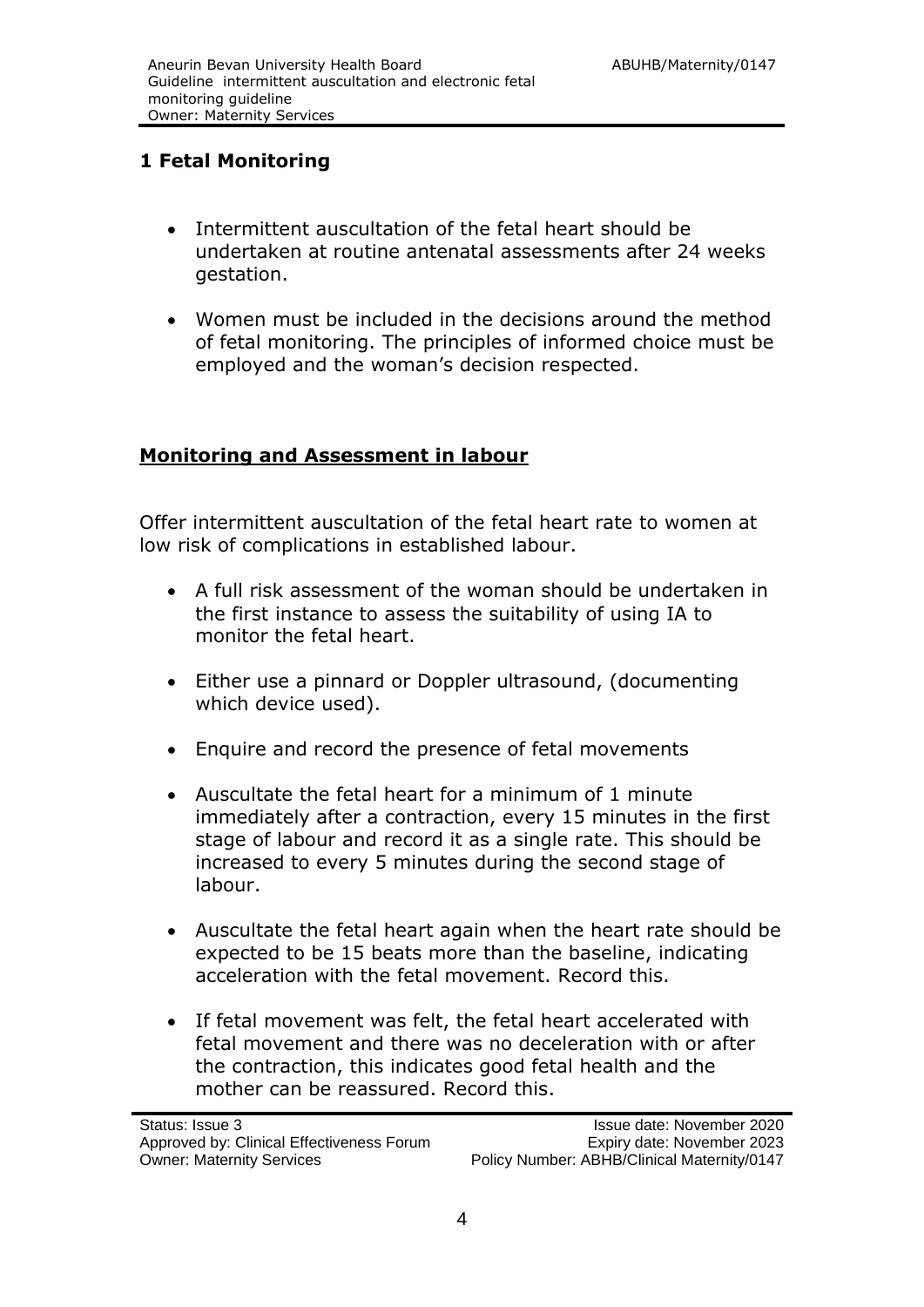## **1 Fetal Monitoring**

- Intermittent auscultation of the fetal heart should be undertaken at routine antenatal assessments after 24 weeks gestation.
- Women must be included in the decisions around the method of fetal monitoring. The principles of informed choice must be employed and the woman's decision respected.

#### **Monitoring and Assessment in labour**

Offer intermittent auscultation of the fetal heart rate to women at low risk of complications in established labour.

- A full risk assessment of the woman should be undertaken in the first instance to assess the suitability of using IA to monitor the fetal heart.
- Either use a pinnard or Doppler ultrasound, (documenting which device used).
- Enquire and record the presence of fetal movements
- Auscultate the fetal heart for a minimum of 1 minute immediately after a contraction, every 15 minutes in the first stage of labour and record it as a single rate. This should be increased to every 5 minutes during the second stage of labour.
- Auscultate the fetal heart again when the heart rate should be expected to be 15 beats more than the baseline, indicating acceleration with the fetal movement. Record this.
- If fetal movement was felt, the fetal heart accelerated with fetal movement and there was no deceleration with or after the contraction, this indicates good fetal health and the mother can be reassured. Record this.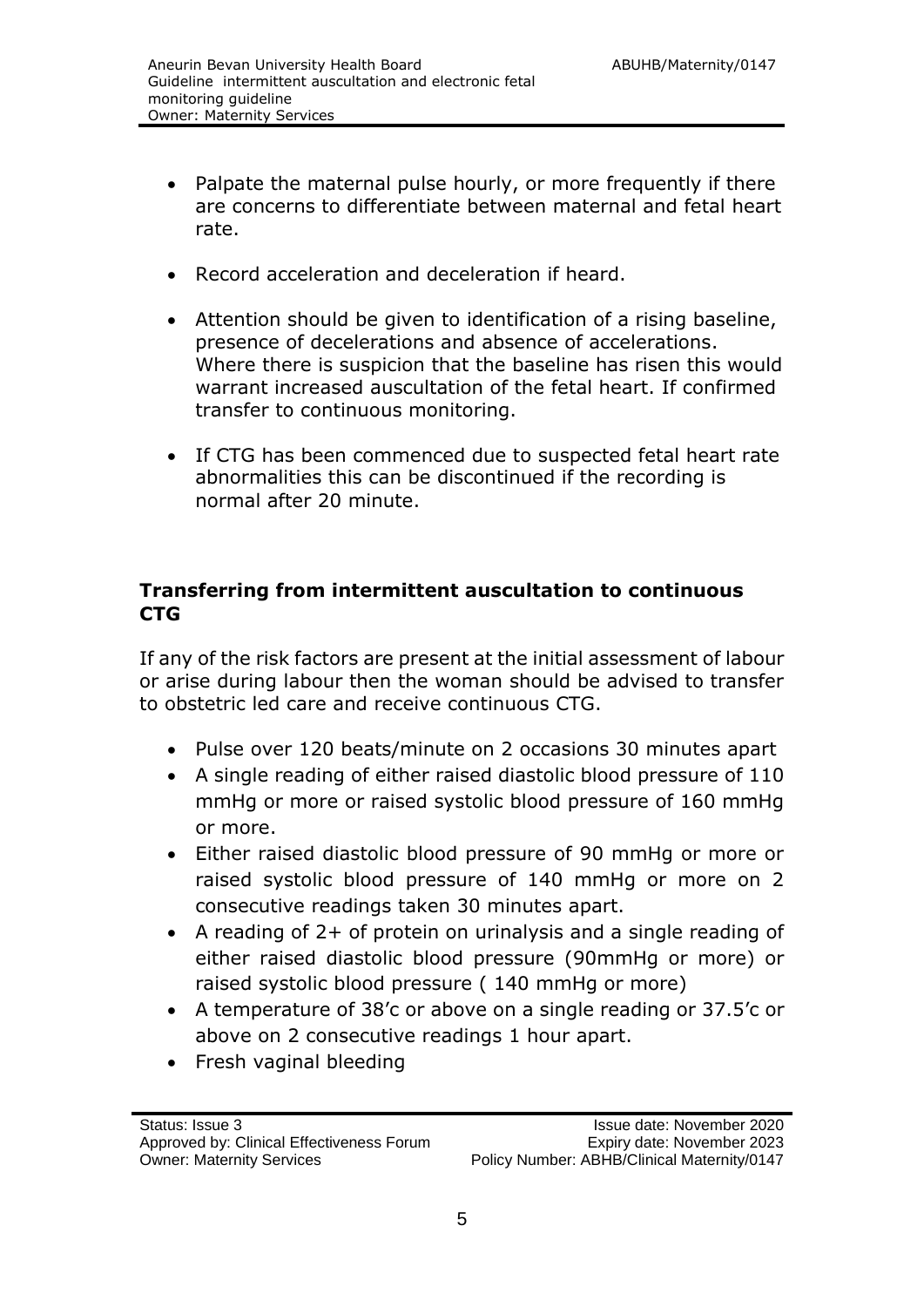- Palpate the maternal pulse hourly, or more frequently if there are concerns to differentiate between maternal and fetal heart rate.
- Record acceleration and deceleration if heard.
- Attention should be given to identification of a rising baseline, presence of decelerations and absence of accelerations. Where there is suspicion that the baseline has risen this would warrant increased auscultation of the fetal heart. If confirmed transfer to continuous monitoring.
- If CTG has been commenced due to suspected fetal heart rate abnormalities this can be discontinued if the recording is normal after 20 minute.

#### **Transferring from intermittent auscultation to continuous CTG**

If any of the risk factors are present at the initial assessment of labour or arise during labour then the woman should be advised to transfer to obstetric led care and receive continuous CTG.

- Pulse over 120 beats/minute on 2 occasions 30 minutes apart
- A single reading of either raised diastolic blood pressure of 110 mmHg or more or raised systolic blood pressure of 160 mmHg or more.
- Either raised diastolic blood pressure of 90 mmHg or more or raised systolic blood pressure of 140 mmHg or more on 2 consecutive readings taken 30 minutes apart.
- A reading of 2+ of protein on urinalysis and a single reading of either raised diastolic blood pressure (90mmHg or more) or raised systolic blood pressure ( 140 mmHg or more)
- A temperature of 38'c or above on a single reading or 37.5'c or above on 2 consecutive readings 1 hour apart.
- Fresh vaginal bleeding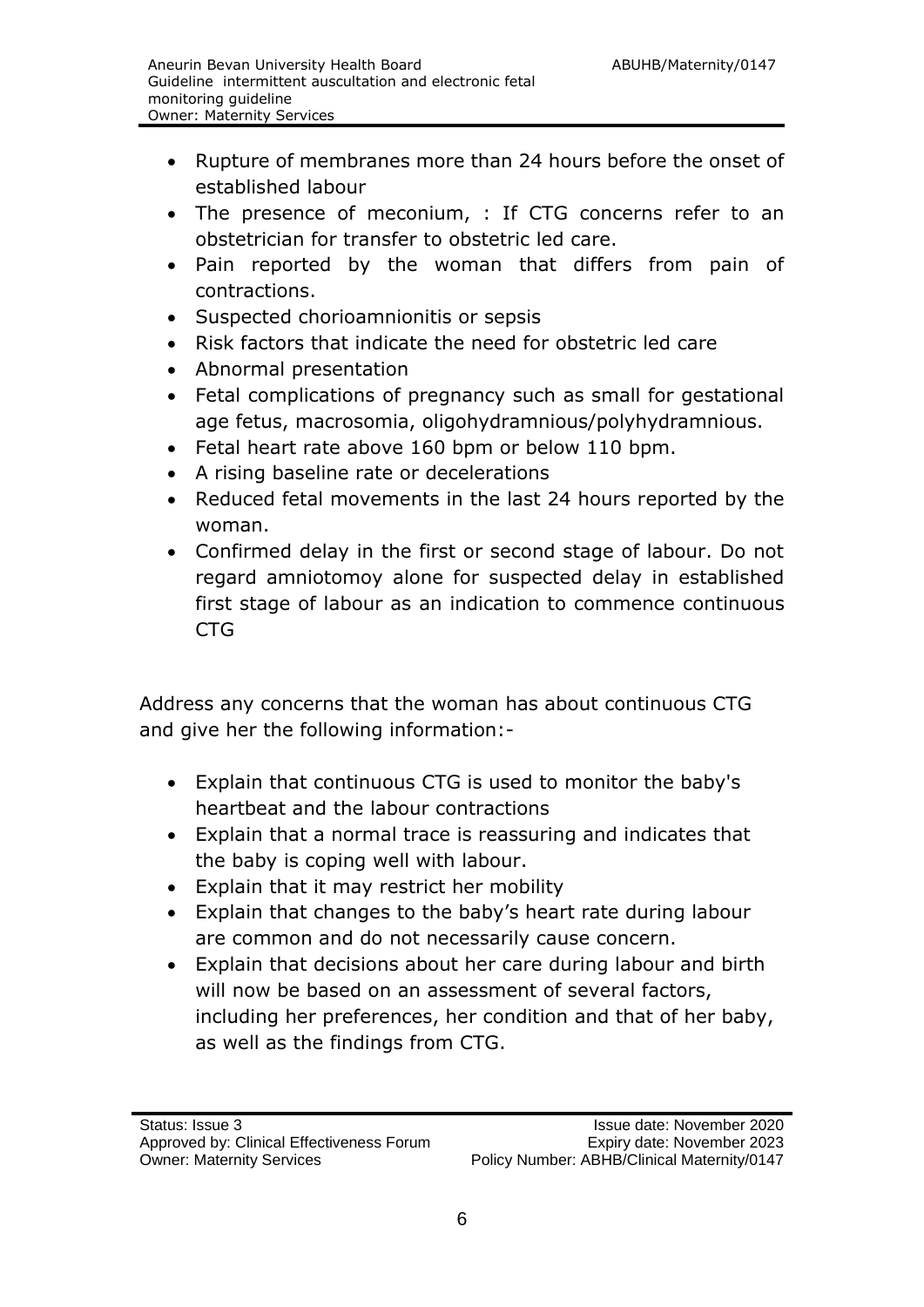- Rupture of membranes more than 24 hours before the onset of established labour
- The presence of meconium, : If CTG concerns refer to an obstetrician for transfer to obstetric led care.
- Pain reported by the woman that differs from pain of contractions.
- Suspected chorioamnionitis or sepsis
- Risk factors that indicate the need for obstetric led care
- Abnormal presentation
- Fetal complications of pregnancy such as small for gestational age fetus, macrosomia, oligohydramnious/polyhydramnious.
- Fetal heart rate above 160 bpm or below 110 bpm.
- A rising baseline rate or decelerations
- Reduced fetal movements in the last 24 hours reported by the woman.
- Confirmed delay in the first or second stage of labour. Do not regard amniotomoy alone for suspected delay in established first stage of labour as an indication to commence continuous CTG

Address any concerns that the woman has about continuous CTG and give her the following information:-

- Explain that continuous CTG is used to monitor the baby's heartbeat and the labour contractions
- Explain that a normal trace is reassuring and indicates that the baby is coping well with labour.
- Explain that it may restrict her mobility
- Explain that changes to the baby's heart rate during labour are common and do not necessarily cause concern.
- Explain that decisions about her care during labour and birth will now be based on an assessment of several factors, including her preferences, her condition and that of her baby, as well as the findings from CTG.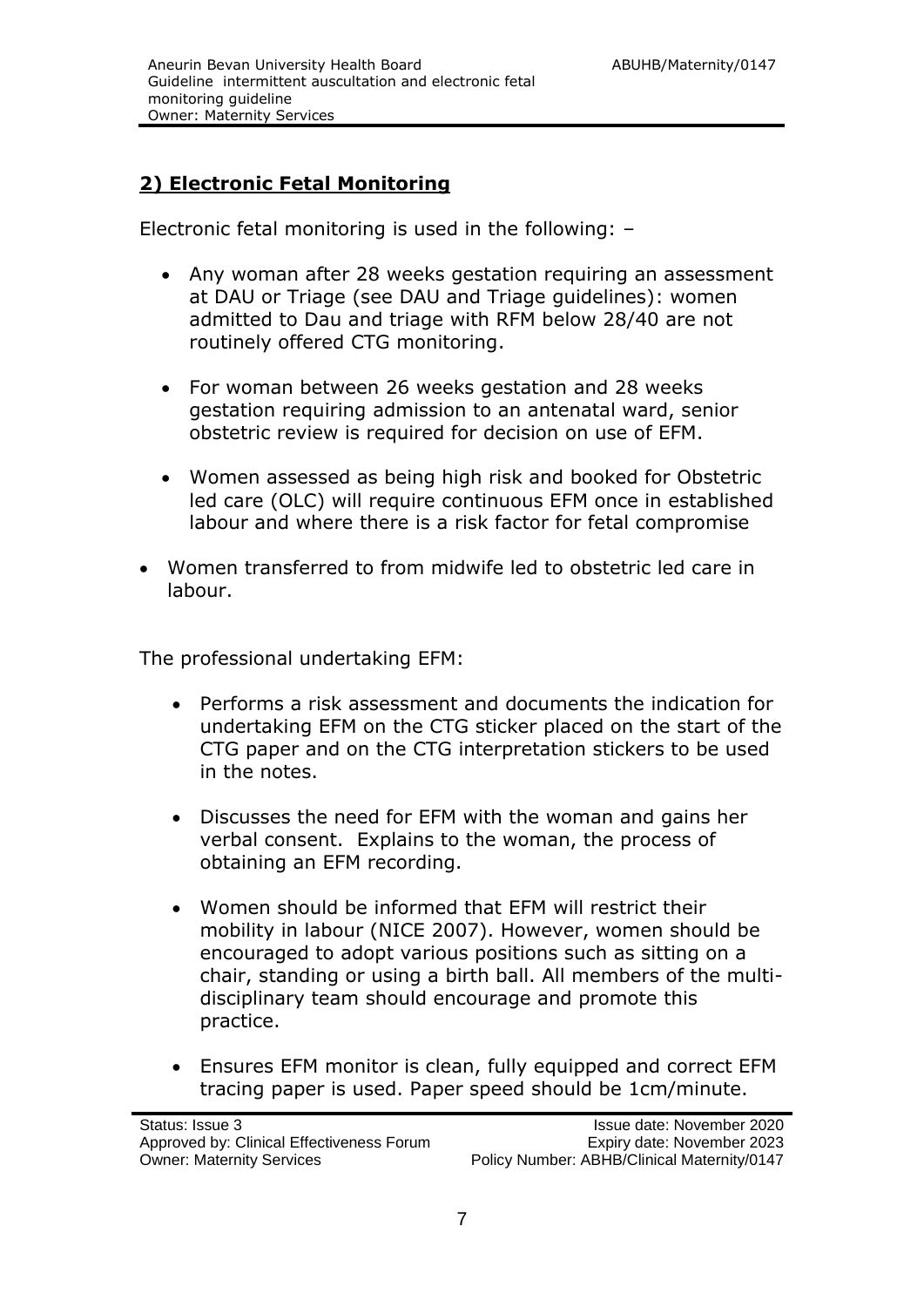## **2) Electronic Fetal Monitoring**

Electronic fetal monitoring is used in the following: –

- Any woman after 28 weeks gestation requiring an assessment at DAU or Triage (see DAU and Triage guidelines): women admitted to Dau and triage with RFM below 28/40 are not routinely offered CTG monitoring.
- For woman between 26 weeks gestation and 28 weeks gestation requiring admission to an antenatal ward, senior obstetric review is required for decision on use of EFM.
- Women assessed as being high risk and booked for Obstetric led care (OLC) will require continuous EFM once in established labour and where there is a risk factor for fetal compromise
- Women transferred to from midwife led to obstetric led care in labour.

The professional undertaking EFM:

- Performs a risk assessment and documents the indication for undertaking EFM on the CTG sticker placed on the start of the CTG paper and on the CTG interpretation stickers to be used in the notes.
- Discusses the need for EFM with the woman and gains her verbal consent. Explains to the woman, the process of obtaining an EFM recording.
- Women should be informed that EFM will restrict their mobility in labour (NICE 2007). However, women should be encouraged to adopt various positions such as sitting on a chair, standing or using a birth ball. All members of the multidisciplinary team should encourage and promote this practice.
- Ensures EFM monitor is clean, fully equipped and correct EFM tracing paper is used. Paper speed should be 1cm/minute.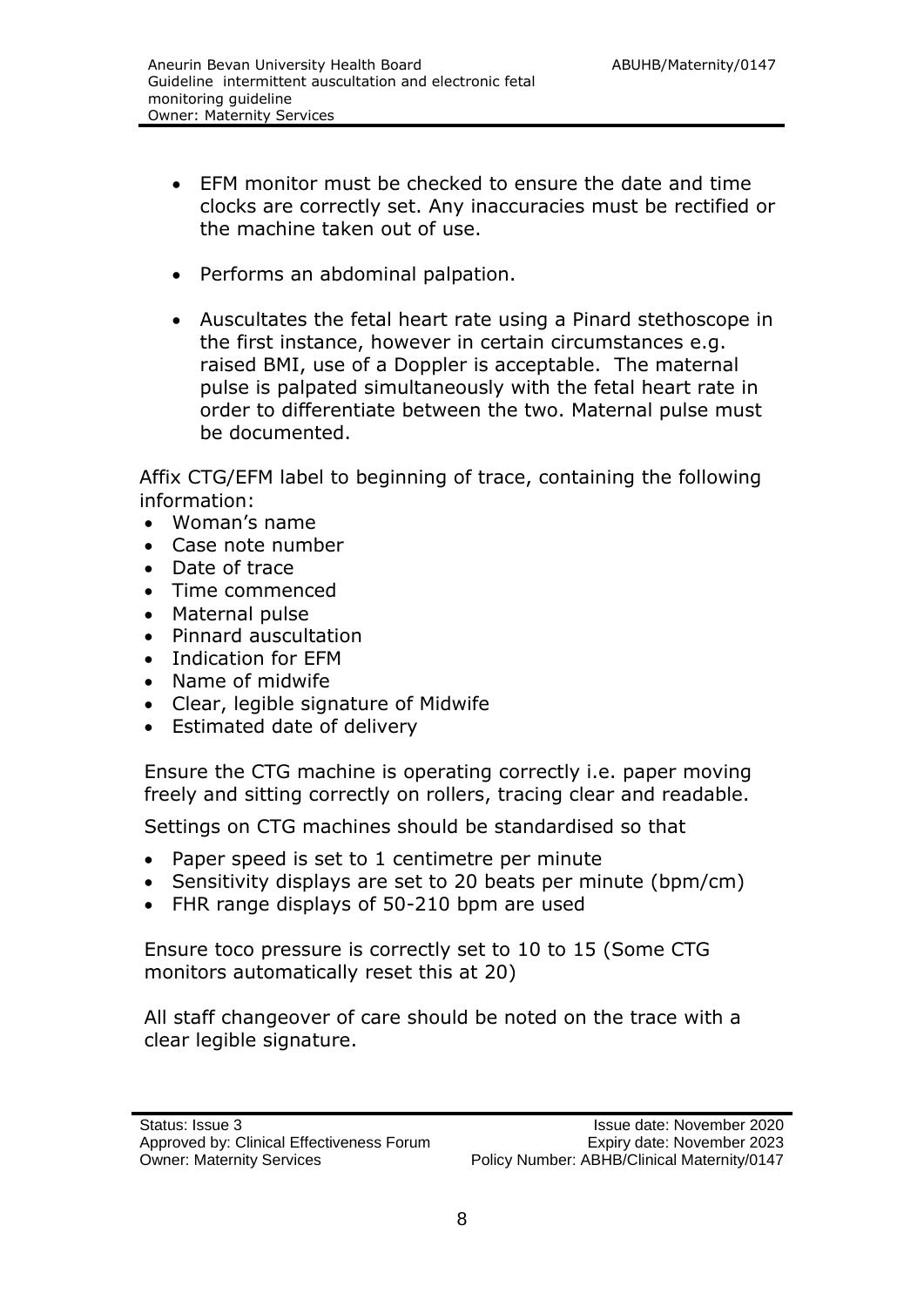- EFM monitor must be checked to ensure the date and time clocks are correctly set. Any inaccuracies must be rectified or the machine taken out of use.
- Performs an abdominal palpation.
- Auscultates the fetal heart rate using a Pinard stethoscope in the first instance, however in certain circumstances e.g. raised BMI, use of a Doppler is acceptable. The maternal pulse is palpated simultaneously with the fetal heart rate in order to differentiate between the two. Maternal pulse must be documented.

Affix CTG/EFM label to beginning of trace, containing the following information:

- Woman's name
- Case note number
- Date of trace
- Time commenced
- Maternal pulse
- Pinnard auscultation
- Indication for FFM
- Name of midwife
- Clear, legible signature of Midwife
- Estimated date of delivery

Ensure the CTG machine is operating correctly i.e. paper moving freely and sitting correctly on rollers, tracing clear and readable.

Settings on CTG machines should be standardised so that

- Paper speed is set to 1 centimetre per minute
- Sensitivity displays are set to 20 beats per minute (bpm/cm)
- FHR range displays of 50-210 bpm are used

Ensure toco pressure is correctly set to 10 to 15 (Some CTG monitors automatically reset this at 20)

All staff changeover of care should be noted on the trace with a clear legible signature.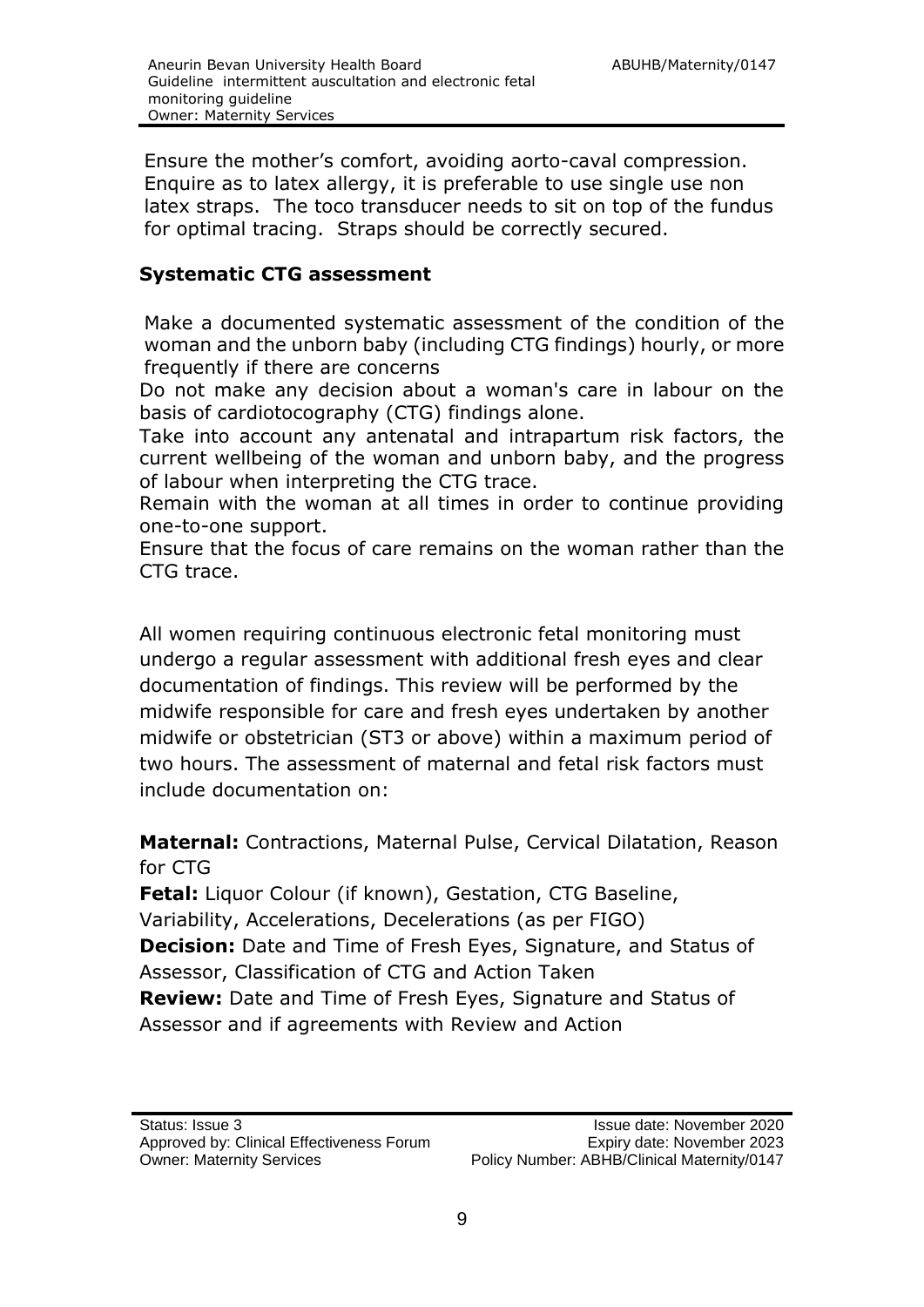Ensure the mother's comfort, avoiding aorto-caval compression. Enquire as to latex allergy, it is preferable to use single use non latex straps. The toco transducer needs to sit on top of the fundus for optimal tracing. Straps should be correctly secured.

## **Systematic CTG assessment**

Make a documented systematic assessment of the condition of the woman and the unborn baby (including CTG findings) hourly, or more frequently if there are concerns

Do not make any decision about a woman's care in labour on the basis of cardiotocography (CTG) findings alone.

Take into account any antenatal and intrapartum risk factors, the current wellbeing of the woman and unborn baby, and the progress of labour when interpreting the CTG trace.

Remain with the woman at all times in order to continue providing one-to-one support.

Ensure that the focus of care remains on the woman rather than the CTG trace.

All women requiring continuous electronic fetal monitoring must undergo a regular assessment with additional fresh eyes and clear documentation of findings. This review will be performed by the midwife responsible for care and fresh eyes undertaken by another midwife or obstetrician (ST3 or above) within a maximum period of two hours. The assessment of maternal and fetal risk factors must include documentation on:

**Maternal:** Contractions, Maternal Pulse, Cervical Dilatation, Reason for CTG

**Fetal:** Liquor Colour (if known), Gestation, CTG Baseline,

Variability, Accelerations, Decelerations (as per FIGO)

**Decision:** Date and Time of Fresh Eyes, Signature, and Status of Assessor, Classification of CTG and Action Taken

**Review:** Date and Time of Fresh Eyes, Signature and Status of Assessor and if agreements with Review and Action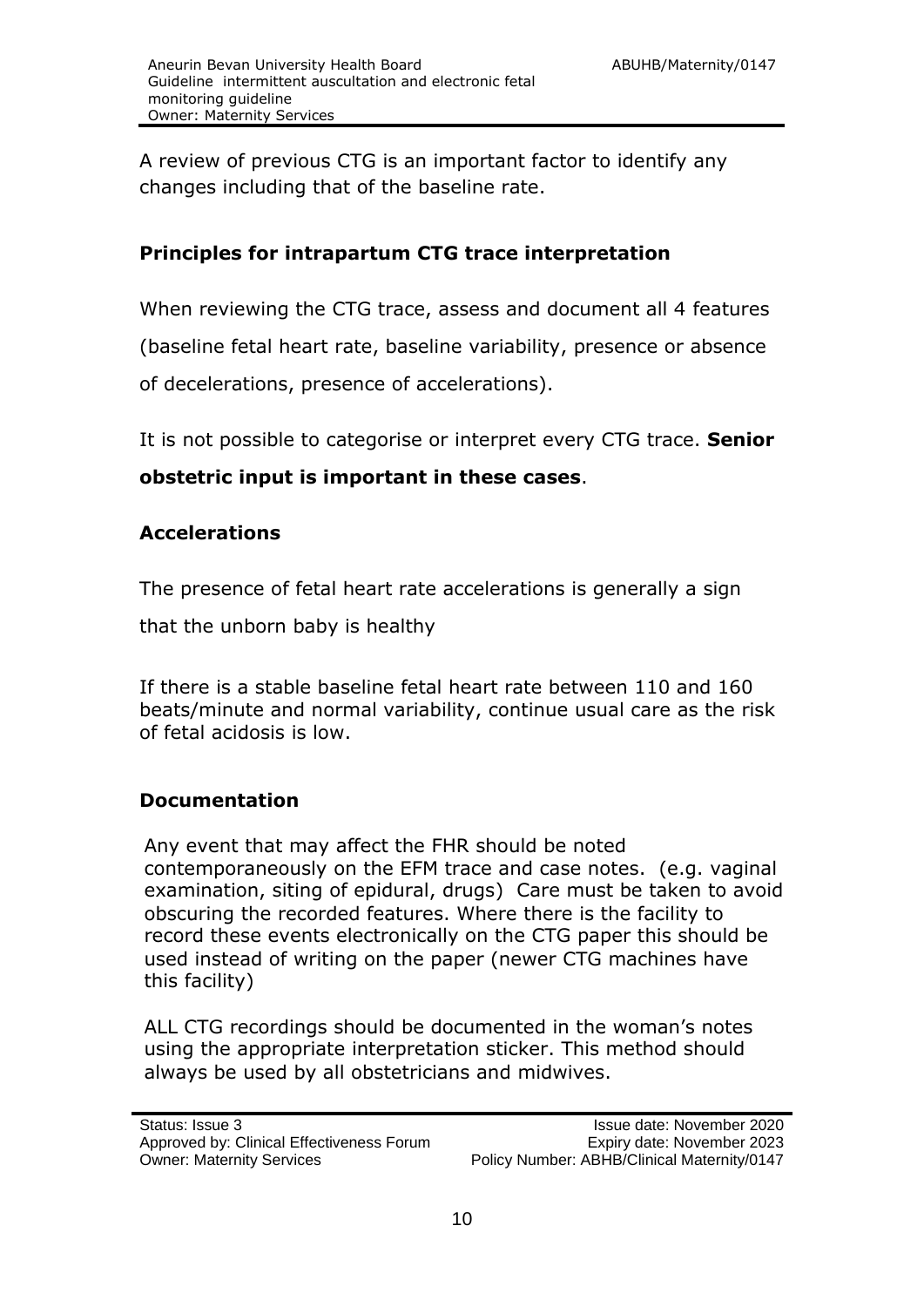A review of previous CTG is an important factor to identify any changes including that of the baseline rate.

#### **Principles for intrapartum CTG trace interpretation**

When reviewing the CTG trace, assess and document all 4 features (baseline fetal heart rate, baseline variability, presence or absence of decelerations, presence of accelerations).

It is not possible to categorise or interpret every CTG trace. **Senior** 

## **obstetric input is important in these cases**.

#### **Accelerations**

The presence of fetal heart rate accelerations is generally a sign

that the unborn baby is healthy

If there is a stable baseline fetal heart rate between 110 and 160 beats/minute and normal variability, continue usual care as the risk of fetal acidosis is low.

#### **Documentation**

Any event that may affect the FHR should be noted contemporaneously on the EFM trace and case notes. (e.g. vaginal examination, siting of epidural, drugs) Care must be taken to avoid obscuring the recorded features. Where there is the facility to record these events electronically on the CTG paper this should be used instead of writing on the paper (newer CTG machines have this facility)

ALL CTG recordings should be documented in the woman's notes using the appropriate interpretation sticker. This method should always be used by all obstetricians and midwives.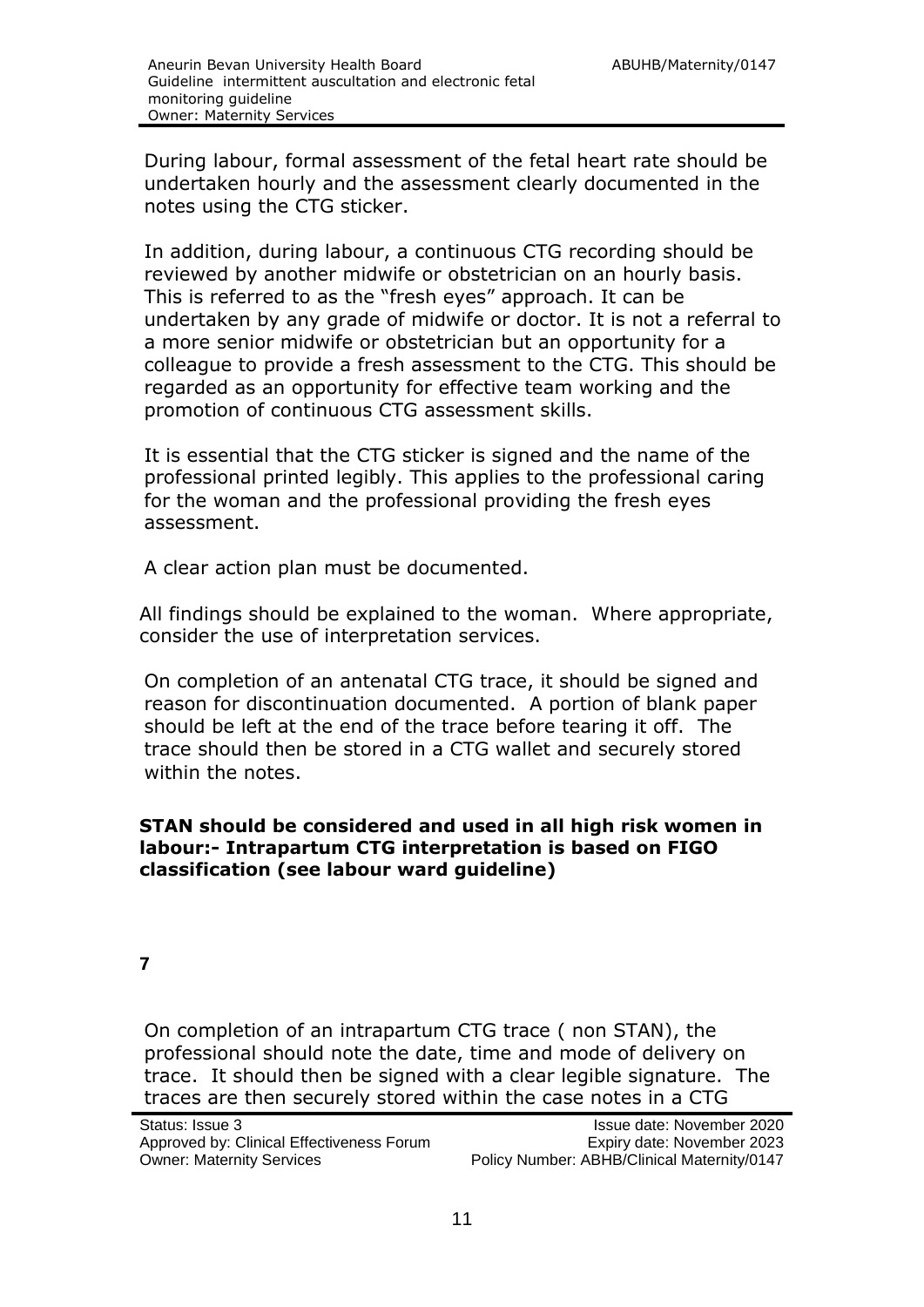During labour, formal assessment of the fetal heart rate should be undertaken hourly and the assessment clearly documented in the notes using the CTG sticker.

In addition, during labour, a continuous CTG recording should be reviewed by another midwife or obstetrician on an hourly basis. This is referred to as the "fresh eyes" approach. It can be undertaken by any grade of midwife or doctor. It is not a referral to a more senior midwife or obstetrician but an opportunity for a colleague to provide a fresh assessment to the CTG. This should be regarded as an opportunity for effective team working and the promotion of continuous CTG assessment skills.

It is essential that the CTG sticker is signed and the name of the professional printed legibly. This applies to the professional caring for the woman and the professional providing the fresh eyes assessment.

A clear action plan must be documented.

All findings should be explained to the woman. Where appropriate, consider the use of interpretation services.

On completion of an antenatal CTG trace, it should be signed and reason for discontinuation documented. A portion of blank paper should be left at the end of the trace before tearing it off. The trace should then be stored in a CTG wallet and securely stored within the notes.

#### **STAN should be considered and used in all high risk women in labour:- Intrapartum CTG interpretation is based on FIGO classification (see labour ward guideline)**

## **7**

On completion of an intrapartum CTG trace ( non STAN), the professional should note the date, time and mode of delivery on trace. It should then be signed with a clear legible signature. The traces are then securely stored within the case notes in a CTG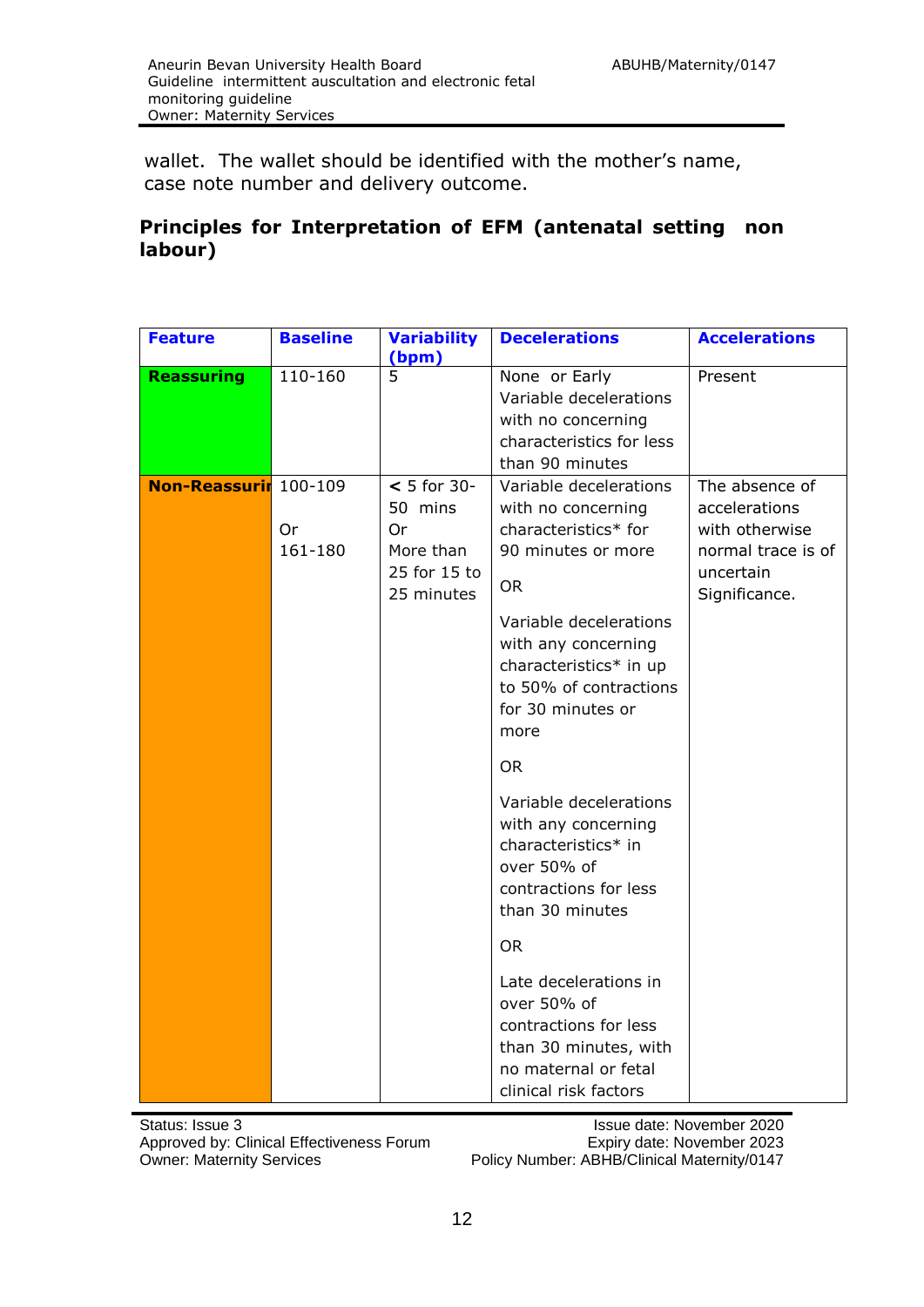wallet. The wallet should be identified with the mother's name, case note number and delivery outcome.

#### **Principles for Interpretation of EFM (antenatal setting non labour)**

| <b>Feature</b>               | <b>Baseline</b> | <b>Variability</b><br>(bpm)                                                      | <b>Decelerations</b>                                                                                                                    | <b>Accelerations</b>                                                                                  |
|------------------------------|-----------------|----------------------------------------------------------------------------------|-----------------------------------------------------------------------------------------------------------------------------------------|-------------------------------------------------------------------------------------------------------|
| <b>Reassuring</b>            | 110-160         | 5                                                                                | None or Early<br>Variable decelerations<br>with no concerning<br>characteristics for less<br>than 90 minutes                            | Present                                                                                               |
| <b>Non-Reassurir</b> 100-109 | 0r<br>161-180   | $< 5$ for 30-<br>50 mins<br><b>Or</b><br>More than<br>25 for 15 to<br>25 minutes | Variable decelerations<br>with no concerning<br>characteristics* for<br>90 minutes or more<br><b>OR</b><br>Variable decelerations       | The absence of<br>accelerations<br>with otherwise<br>normal trace is of<br>uncertain<br>Significance. |
|                              |                 |                                                                                  | with any concerning<br>characteristics* in up<br>to 50% of contractions<br>for 30 minutes or<br>more<br><b>OR</b>                       |                                                                                                       |
|                              |                 |                                                                                  | Variable decelerations<br>with any concerning<br>characteristics* in<br>over 50% of<br>contractions for less<br>than 30 minutes         |                                                                                                       |
|                              |                 |                                                                                  | <b>OR</b>                                                                                                                               |                                                                                                       |
|                              |                 |                                                                                  | Late decelerations in<br>over 50% of<br>contractions for less<br>than 30 minutes, with<br>no maternal or fetal<br>clinical risk factors |                                                                                                       |

Status: Issue 3 Issue issue 3 Approved by: Clinical Effectiveness Forum Expiry date: November 2023 Owner: Maternity Services **Policy Number: ABHB/Clinical Maternity/0147**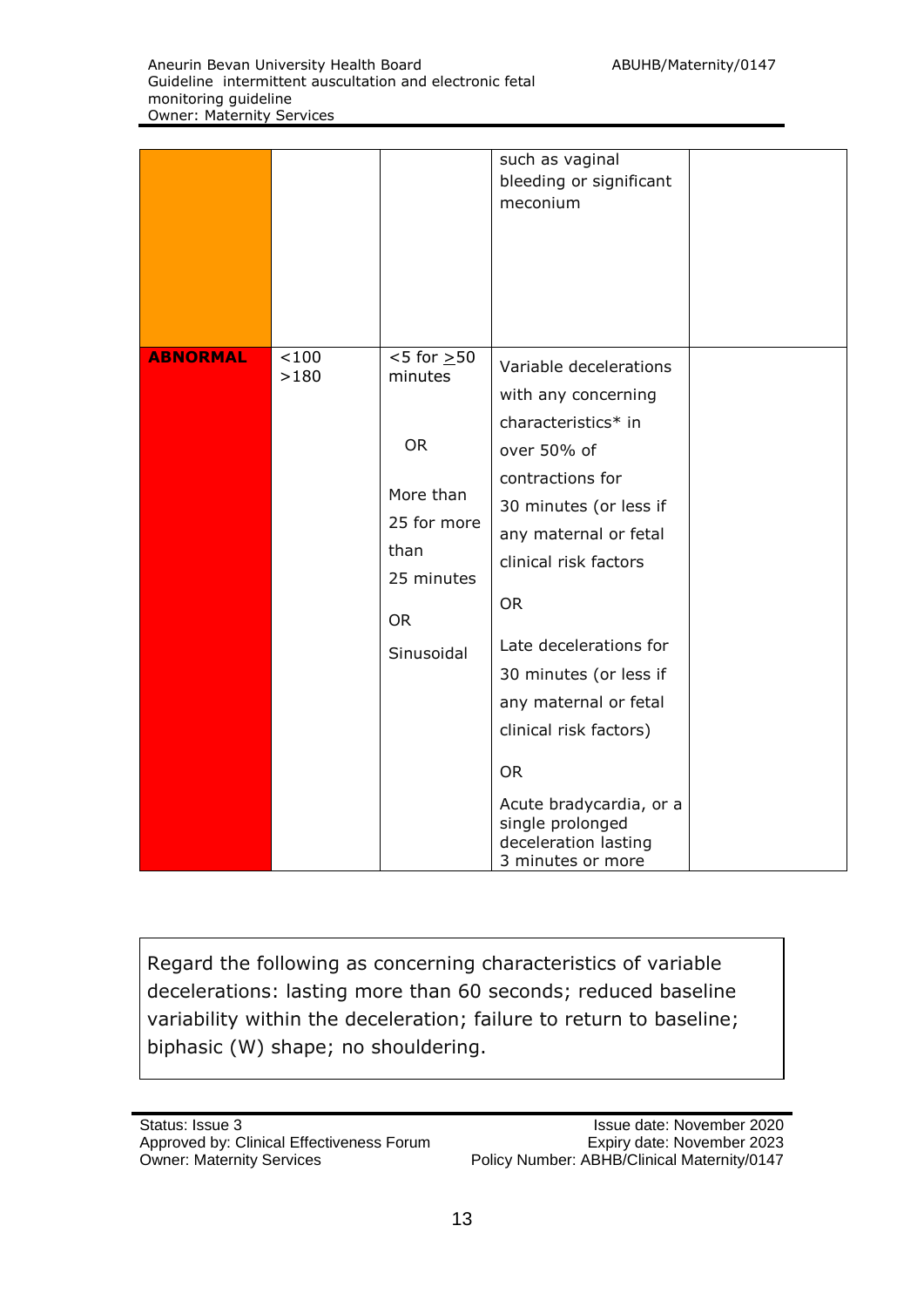|                 |               |                                                                                                                          | such as vaginal<br>bleeding or significant<br>meconium                                                                                                                                                                                                                                                                                                                                                           |  |
|-----------------|---------------|--------------------------------------------------------------------------------------------------------------------------|------------------------------------------------------------------------------------------------------------------------------------------------------------------------------------------------------------------------------------------------------------------------------------------------------------------------------------------------------------------------------------------------------------------|--|
| <b>ABNORMAL</b> | < 100<br>>180 | $<$ 5 for $\geq$ 50<br>minutes<br><b>OR</b><br>More than<br>25 for more<br>than<br>25 minutes<br><b>OR</b><br>Sinusoidal | Variable decelerations<br>with any concerning<br>characteristics* in<br>over 50% of<br>contractions for<br>30 minutes (or less if<br>any maternal or fetal<br>clinical risk factors<br><b>OR</b><br>Late decelerations for<br>30 minutes (or less if<br>any maternal or fetal<br>clinical risk factors)<br><b>OR</b><br>Acute bradycardia, or a<br>single prolonged<br>deceleration lasting<br>3 minutes or more |  |

Regard the following as concerning characteristics of variable decelerations: lasting more than 60 seconds; reduced baseline variability within the deceleration; failure to return to baseline; biphasic (W) shape; no shouldering.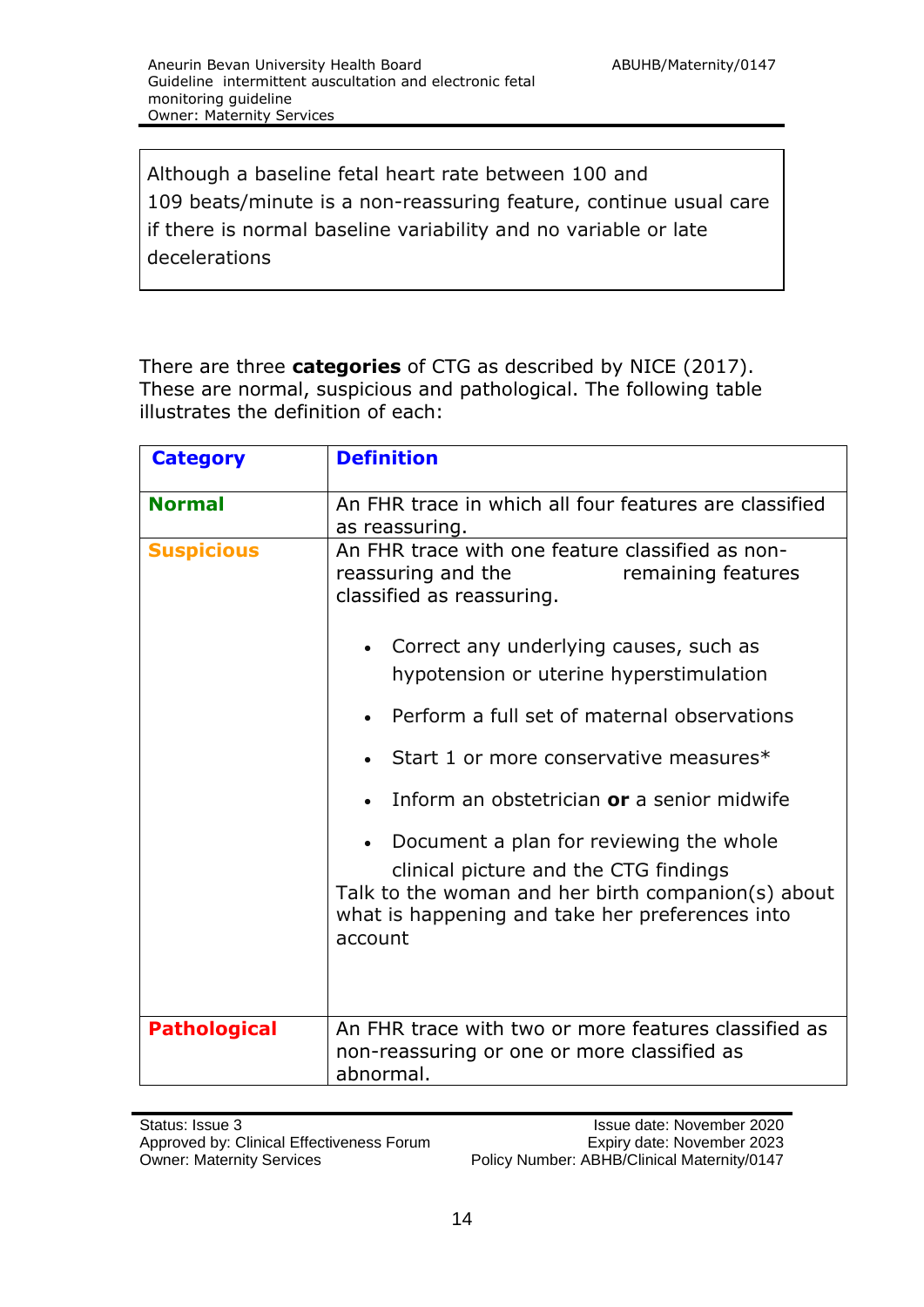Although a baseline fetal heart rate between 100 and 109 beats/minute is a non-reassuring feature, continue usual care if there is normal baseline variability and no variable or late decelerations

There are three **categories** of CTG as described by NICE (2017). These are normal, suspicious and pathological. The following table illustrates the definition of each:

| <b>Category</b>     | <b>Definition</b>                                                                                                                                                                                    |
|---------------------|------------------------------------------------------------------------------------------------------------------------------------------------------------------------------------------------------|
| <b>Normal</b>       | An FHR trace in which all four features are classified<br>as reassuring.                                                                                                                             |
| <b>Suspicious</b>   | An FHR trace with one feature classified as non-<br>reassuring and the<br>remaining features<br>classified as reassuring.                                                                            |
|                     | • Correct any underlying causes, such as<br>hypotension or uterine hyperstimulation                                                                                                                  |
|                     | Perform a full set of maternal observations                                                                                                                                                          |
|                     | • Start 1 or more conservative measures $*$                                                                                                                                                          |
|                     | Inform an obstetrician or a senior midwife                                                                                                                                                           |
|                     | Document a plan for reviewing the whole<br>clinical picture and the CTG findings<br>Talk to the woman and her birth companion(s) about<br>what is happening and take her preferences into<br>account |
| <b>Pathological</b> | An FHR trace with two or more features classified as<br>non-reassuring or one or more classified as<br>abnormal.                                                                                     |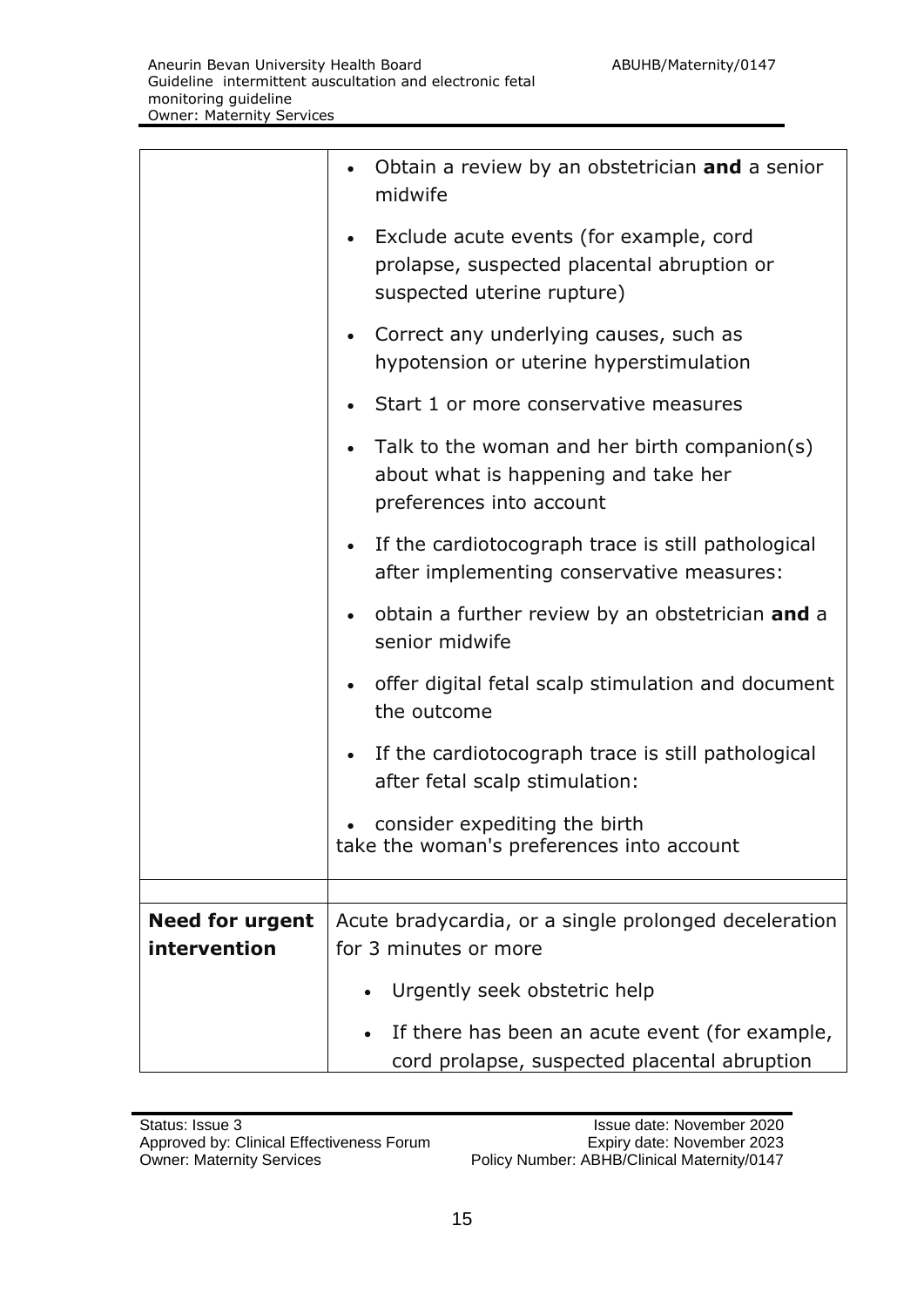|                                        | Obtain a review by an obstetrician and a senior<br>$\bullet$<br>midwife                                                          |  |  |
|----------------------------------------|----------------------------------------------------------------------------------------------------------------------------------|--|--|
|                                        | Exclude acute events (for example, cord<br>$\bullet$<br>prolapse, suspected placental abruption or<br>suspected uterine rupture) |  |  |
|                                        | Correct any underlying causes, such as<br>$\bullet$<br>hypotension or uterine hyperstimulation                                   |  |  |
|                                        | Start 1 or more conservative measures                                                                                            |  |  |
|                                        | Talk to the woman and her birth companion(s)<br>$\bullet$<br>about what is happening and take her<br>preferences into account    |  |  |
|                                        | If the cardiotocograph trace is still pathological<br>$\bullet$<br>after implementing conservative measures:                     |  |  |
|                                        | obtain a further review by an obstetrician and a<br>$\bullet$<br>senior midwife                                                  |  |  |
|                                        | offer digital fetal scalp stimulation and document<br>the outcome                                                                |  |  |
|                                        | If the cardiotocograph trace is still pathological<br>$\bullet$<br>after fetal scalp stimulation:                                |  |  |
|                                        | consider expediting the birth<br>take the woman's preferences into account                                                       |  |  |
|                                        |                                                                                                                                  |  |  |
| <b>Need for urgent</b><br>intervention | Acute bradycardia, or a single prolonged deceleration<br>for 3 minutes or more                                                   |  |  |
|                                        |                                                                                                                                  |  |  |
|                                        | Urgently seek obstetric help                                                                                                     |  |  |
|                                        | If there has been an acute event (for example,<br>$\bullet$<br>cord prolapse, suspected placental abruption                      |  |  |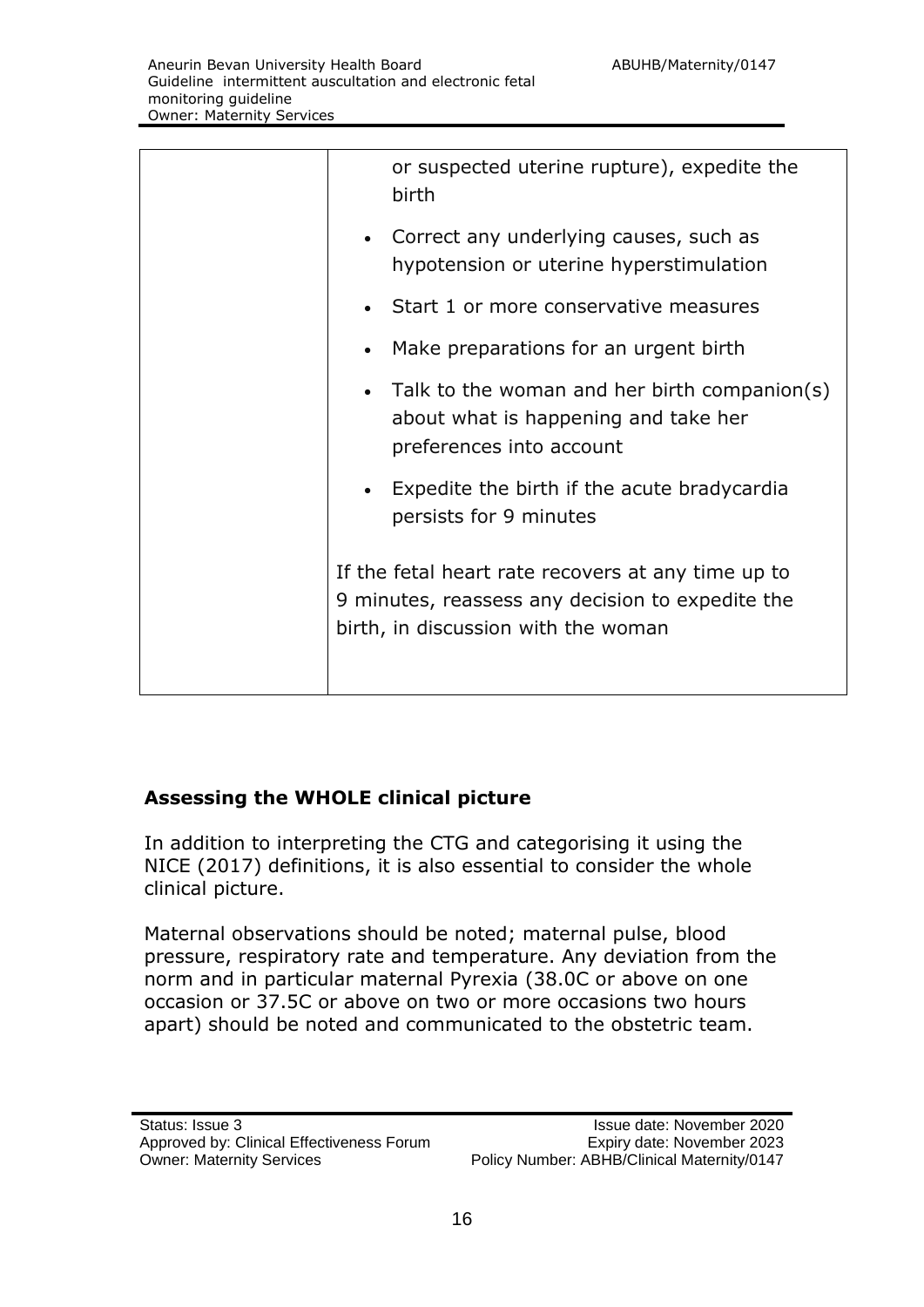| or suspected uterine rupture), expedite the<br>birth                                                                                          |
|-----------------------------------------------------------------------------------------------------------------------------------------------|
| • Correct any underlying causes, such as<br>hypotension or uterine hyperstimulation                                                           |
| Start 1 or more conservative measures                                                                                                         |
| Make preparations for an urgent birth                                                                                                         |
| Talk to the woman and her birth companion(s)<br>about what is happening and take her<br>preferences into account                              |
| Expedite the birth if the acute bradycardia<br>$\bullet$<br>persists for 9 minutes                                                            |
| If the fetal heart rate recovers at any time up to<br>9 minutes, reassess any decision to expedite the<br>birth, in discussion with the woman |

## **Assessing the WHOLE clinical picture**

In addition to interpreting the CTG and categorising it using the NICE (2017) definitions, it is also essential to consider the whole clinical picture.

Maternal observations should be noted; maternal pulse, blood pressure, respiratory rate and temperature. Any deviation from the norm and in particular maternal Pyrexia (38.0C or above on one occasion or 37.5C or above on two or more occasions two hours apart) should be noted and communicated to the obstetric team.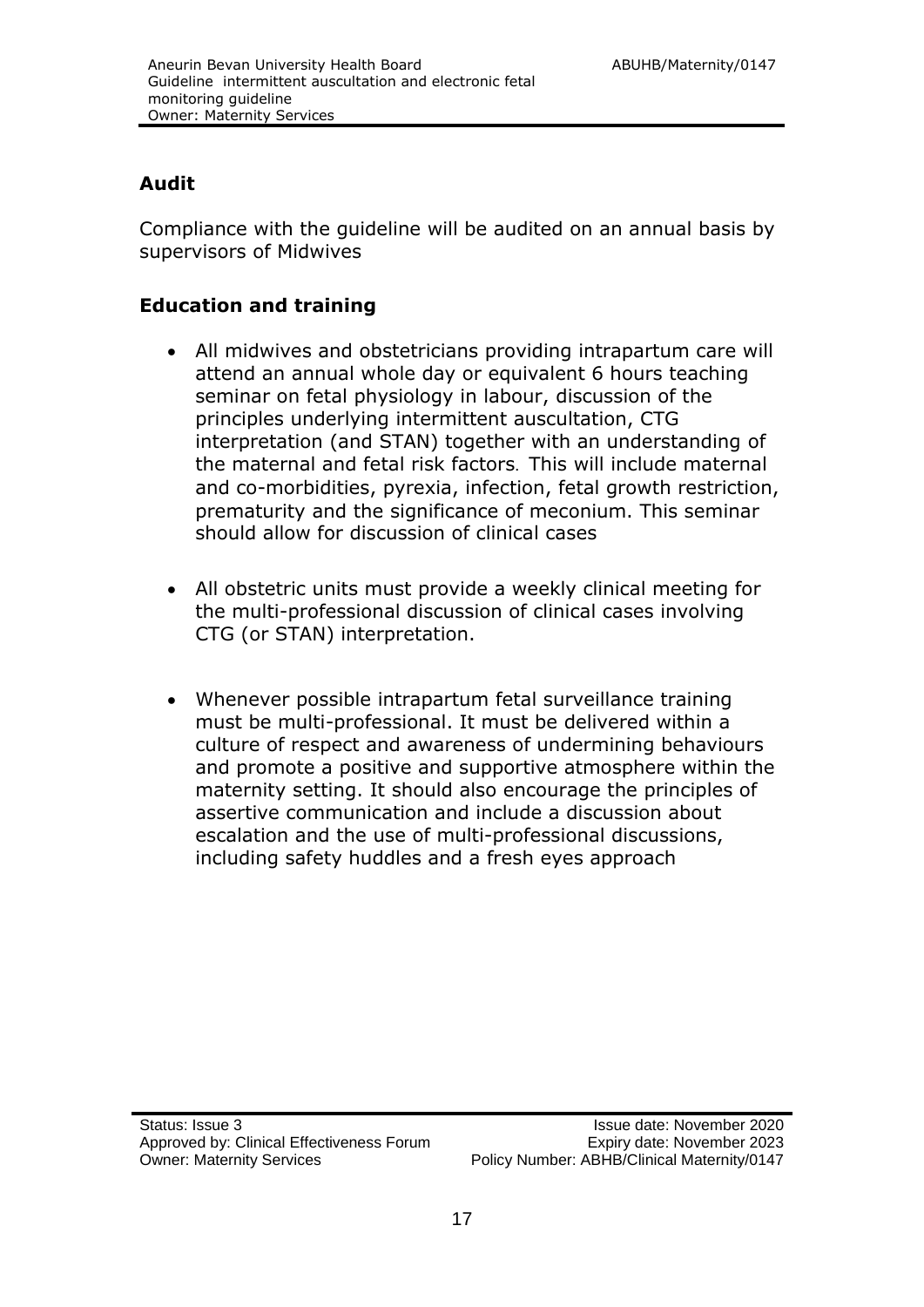#### **Audit**

Compliance with the guideline will be audited on an annual basis by supervisors of Midwives

#### **Education and training**

- All midwives and obstetricians providing intrapartum care will attend an annual whole day or equivalent 6 hours teaching seminar on fetal physiology in labour, discussion of the principles underlying intermittent auscultation, CTG interpretation (and STAN) together with an understanding of the maternal and fetal risk factors. This will include maternal and co-morbidities, pyrexia, infection, fetal growth restriction, prematurity and the significance of meconium. This seminar should allow for discussion of clinical cases
- All obstetric units must provide a weekly clinical meeting for the multi-professional discussion of clinical cases involving CTG (or STAN) interpretation.
- Whenever possible intrapartum fetal surveillance training must be multi-professional. It must be delivered within a culture of respect and awareness of undermining behaviours and promote a positive and supportive atmosphere within the maternity setting. It should also encourage the principles of assertive communication and include a discussion about escalation and the use of multi-professional discussions, including safety huddles and a fresh eyes approach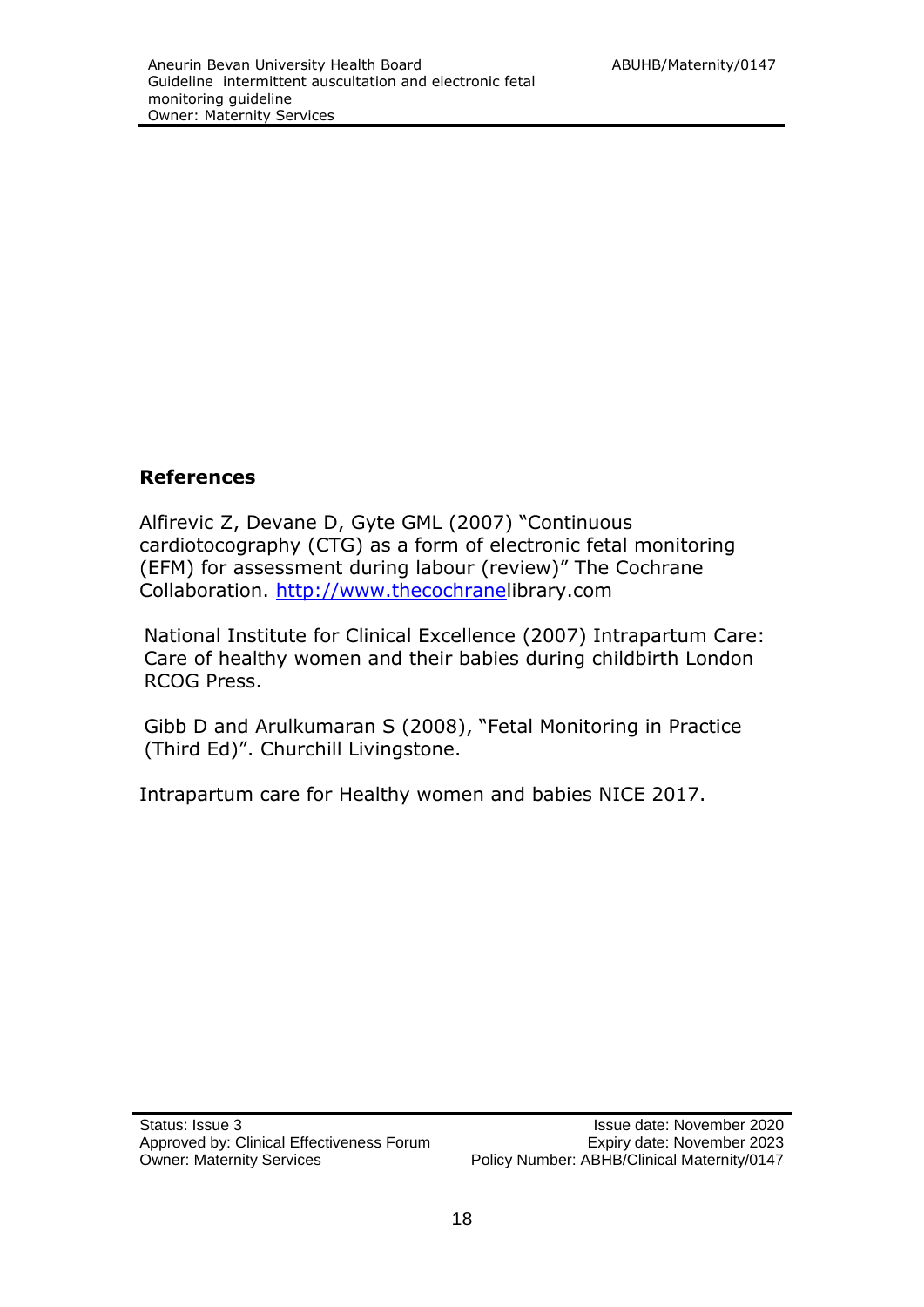#### <span id="page-17-0"></span>**References**

Alfirevic Z, Devane D, Gyte GML (2007) "Continuous cardiotocography (CTG) as a form of electronic fetal monitoring (EFM) for assessment during labour (review)" The Cochrane Collaboration. [http://www.thecochranel](http://www.thecochrane/)ibrary.com

National Institute for Clinical Excellence (2007) Intrapartum Care: Care of healthy women and their babies during childbirth London RCOG Press.

Gibb D and Arulkumaran S (2008), "Fetal Monitoring in Practice (Third Ed)". Churchill Livingstone.

Intrapartum care for Healthy women and babies NICE 2017.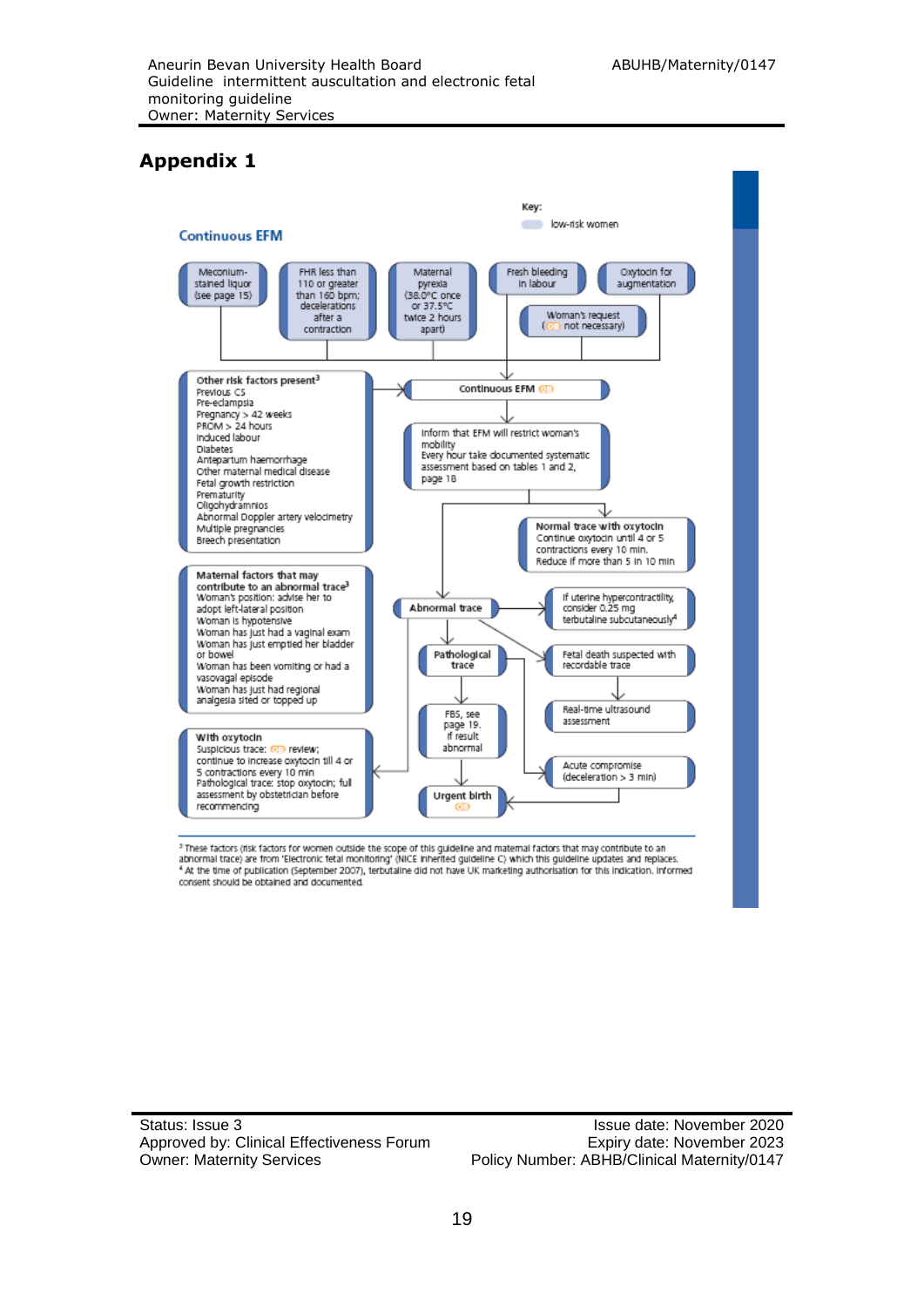#### **Appendix 1**

<span id="page-18-0"></span>

4 At the time of publication (September 2007), terbutaline did not have UK marketing authorisation for this indication. Informed consent should be obtained and documented.

Status: Issue 3 **Issue date: November 2020** Approved by: Clinical Effectiveness Forum Expiry date: November 2023 Owner: Maternity Services **Policy Number: ABHB/Clinical Maternity/0147**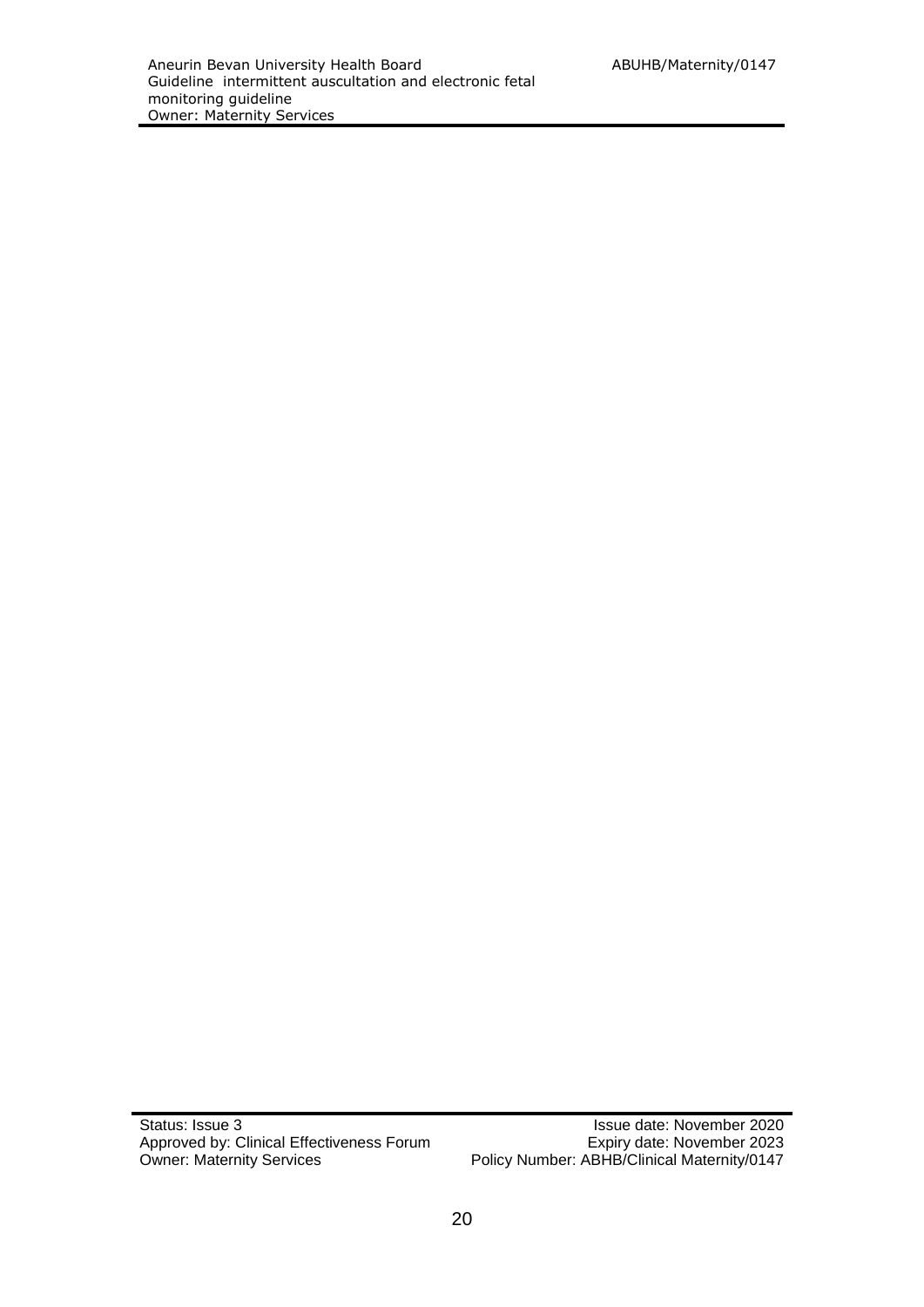Approved by: Clinical Effectiveness Forum

Status: Issue 3 Issue date: November 2020<br>
Approved by: Clinical Effectiveness Forum<br>
Expiry date: November 2023 Owner: Maternity Services **Policy Number: ABHB/Clinical Maternity/0147**